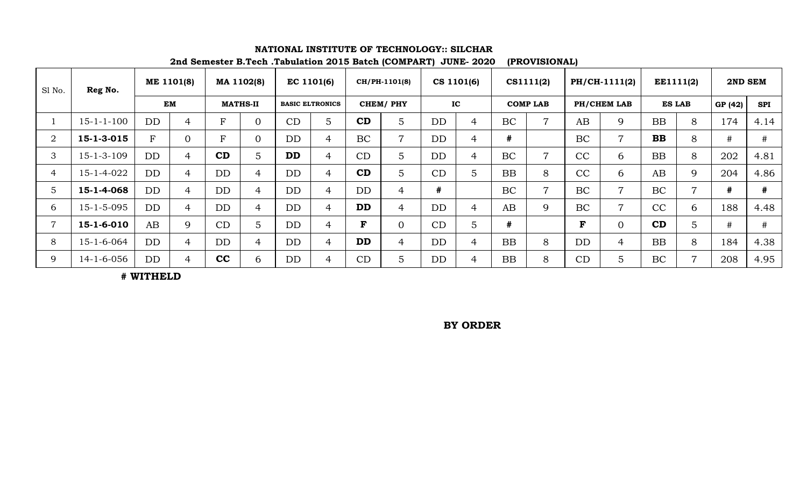| Sl No.         | Reg No.            | ME 1101(8) |                | MA 1102(8)      |                | EC 1101(6)             |                | CH/PH-1101(8) |                | CS 1101(6) |                | CS1111(2)       |                | PH/CH-1111(2) |                | EE1111(2)     |   | 2ND SEM |            |
|----------------|--------------------|------------|----------------|-----------------|----------------|------------------------|----------------|---------------|----------------|------------|----------------|-----------------|----------------|---------------|----------------|---------------|---|---------|------------|
|                |                    | <b>EM</b>  |                | <b>MATHS-II</b> |                | <b>BASIC ELTRONICS</b> |                | CHEM/PHY      |                | IC         |                | <b>COMP LAB</b> |                | PH/CHEM LAB   |                | <b>ES LAB</b> |   | GP (42) | <b>SPI</b> |
|                | $15 - 1 - 1 - 100$ | DD         | $\overline{4}$ | Ŀ.              | $\overline{0}$ | CD                     | 5              | CD            | $\overline{5}$ | <b>DD</b>  | 4              | <b>BC</b>       | $\overline{7}$ | AB            | 9              | <b>BB</b>     | 8 | 174     | 4.14       |
| $\overline{2}$ | 15-1-3-015         | $F_{\rm}$  | $\overline{0}$ | Ŀ.              | $\overline{0}$ | <b>DD</b>              | $\overline{4}$ | <b>BC</b>     | $\overline{7}$ | <b>DD</b>  | 4              | #               |                | <b>BC</b>     | $\overline{7}$ | <b>BB</b>     | 8 | $\#$    | #          |
| 3              | $15 - 1 - 3 - 109$ | <b>DD</b>  | 4              | CD              | 5              | <b>DD</b>              | 4              | CD            | $\overline{5}$ | <b>DD</b>  | $\overline{4}$ | <b>BC</b>       | $\overline{7}$ | CC            | 6              | <b>BB</b>     | 8 | 202     | 4.81       |
| 4              | 15-1-4-022         | <b>DD</b>  | $\overline{4}$ | <b>DD</b>       | $\overline{4}$ | <b>DD</b>              | $\overline{4}$ | CD            | $\overline{5}$ | CD         | 5              | <b>BB</b>       | 8              | CC            | 6              | AB            | 9 | 204     | 4.86       |
| 5              | 15-1-4-068         | DD         | $\overline{4}$ | <b>DD</b>       | $\overline{4}$ | <b>DD</b>              | $\overline{4}$ | <b>DD</b>     | $\overline{4}$ | #          |                | BC              | $\overline{7}$ | <b>BC</b>     | $\overline{7}$ | <b>BC</b>     | 7 | #       | #          |
| 6              | $15 - 1 - 5 - 095$ | DD         | $\overline{4}$ | <b>DD</b>       | $\overline{4}$ | <b>DD</b>              | $\overline{4}$ | <b>DD</b>     | $\overline{4}$ | <b>DD</b>  | 4              | AB              | 9              | BC            | $\overline{7}$ | CC            | 6 | 188     | 4.48       |
|                | 15-1-6-010         | AB         | 9              | CD              | 5              | <b>DD</b>              | 4              | F             | $\overline{0}$ | CD         | 5 <sup>1</sup> | #               |                | F             | $\Omega$       | CD            | 5 | #       | #          |
| 8              | $15 - 1 - 6 - 064$ | DD         | $\overline{4}$ | <b>DD</b>       | $\overline{4}$ | <b>DD</b>              | $\overline{4}$ | <b>DD</b>     | $\overline{4}$ | DD         | $\overline{4}$ | <b>BB</b>       | 8              | <b>DD</b>     | $\overline{4}$ | <b>BB</b>     | 8 | 184     | 4.38       |
| 9              | $14 - 1 - 6 - 056$ | DD         | 4              | cc              | 6              | <b>DD</b>              | $\overline{4}$ | CD            | $\overline{5}$ | <b>DD</b>  | 4              | <b>BB</b>       | 8              | CD            | $\overline{5}$ | BC            | 7 | 208     | 4.95       |

## **NATIONAL INSTITUTE OF TECHNOLOGY:: SILCHAR**

**2nd Semester B.Tech .Tabulation 2015 Batch (COMPART) JUNE- 2020 (PROVISIONAL)**

**# WITHELD** 

**BY ORDER**